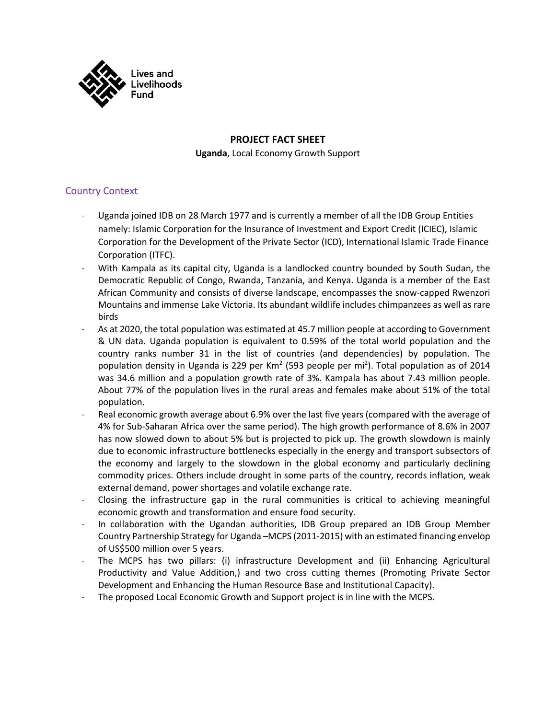

### **PROJECT FACT SHEET**

**Uganda**, Local Economy Growth Support

### Country Context

- Uganda joined IDB on 28 March 1977 and is currently a member of all the IDB Group Entities namely: Islamic Corporation for the Insurance of Investment and Export Credit (ICIEC), Islamic Corporation for the Development of the Private Sector (ICD), International Islamic Trade Finance Corporation (ITFC).
- With Kampala as its capital city, Uganda is a landlocked country bounded by South Sudan, the Democratic Republic of Congo, Rwanda, Tanzania, and Kenya. Uganda is a member of the East African Community and consists of diverse landscape, encompasses the snow-capped Rwenzori Mountains and immense Lake Victoria. Its abundant wildlife includes chimpanzees as well as rare birds
- As at 2020, the total population was estimated at 45.7 million people at according to Government & UN data. Uganda population is equivalent to 0.59% of the total world population and the country ranks number 31 in the list of countries (and dependencies) by population. The population density in Uganda is 229 per Km<sup>2</sup> (593 people per mi<sup>2</sup>). Total population as of 2014 was 34.6 million and a population growth rate of 3%. Kampala has about 7.43 million people. About 77% of the population lives in the rural areas and females make about 51% of the total population.
- Real economic growth average about 6.9% over the last five years (compared with the average of 4% for Sub-Saharan Africa over the same period). The high growth performance of 8.6% in 2007 has now slowed down to about 5% but is projected to pick up. The growth slowdown is mainly due to economic infrastructure bottlenecks especially in the energy and transport subsectors of the economy and largely to the slowdown in the global economy and particularly declining commodity prices. Others include drought in some parts of the country, records inflation, weak external demand, power shortages and volatile exchange rate.
- Closing the infrastructure gap in the rural communities is critical to achieving meaningful economic growth and transformation and ensure food security.
- In collaboration with the Ugandan authorities, IDB Group prepared an IDB Group Member Country Partnership Strategy for Uganda –MCPS (2011-2015) with an estimated financing envelop of US\$500 million over 5 years.
- The MCPS has two pillars: (i) infrastructure Development and (ii) Enhancing Agricultural Productivity and Value Addition,) and two cross cutting themes (Promoting Private Sector Development and Enhancing the Human Resource Base and Institutional Capacity).
- The proposed Local Economic Growth and Support project is in line with the MCPS.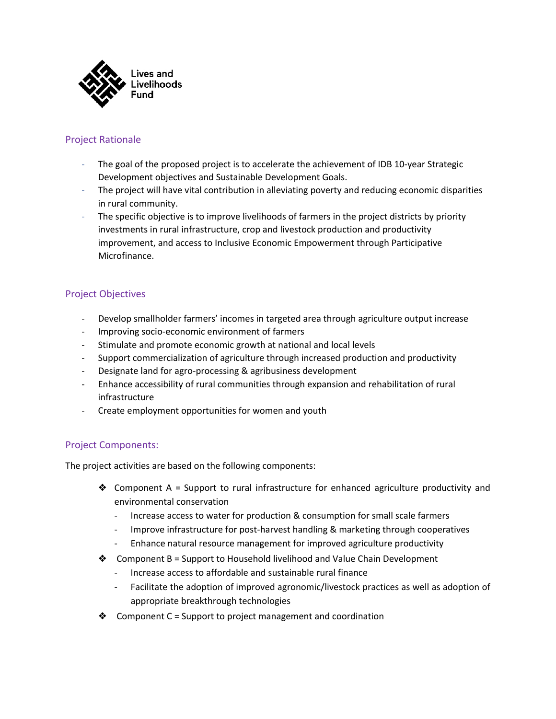

# Project Rationale

- The goal of the proposed project is to accelerate the achievement of IDB 10-year Strategic Development objectives and Sustainable Development Goals.
- The project will have vital contribution in alleviating poverty and reducing economic disparities in rural community.
- The specific objective is to improve livelihoods of farmers in the project districts by priority investments in rural infrastructure, crop and livestock production and productivity improvement, and access to Inclusive Economic Empowerment through Participative Microfinance.

# Project Objectives

- Develop smallholder farmers' incomes in targeted area through agriculture output increase
- Improving socio-economic environment of farmers
- Stimulate and promote economic growth at national and local levels
- Support commercialization of agriculture through increased production and productivity
- Designate land for agro-processing & agribusiness development
- Enhance accessibility of rural communities through expansion and rehabilitation of rural infrastructure
- Create employment opportunities for women and youth

# Project Components:

The project activities are based on the following components:

- ◆ Component A = Support to rural infrastructure for enhanced agriculture productivity and environmental conservation
	- Increase access to water for production & consumption for small scale farmers
	- Improve infrastructure for post-harvest handling & marketing through cooperatives
	- Enhance natural resource management for improved agriculture productivity
- ❖ Component B = Support to Household livelihood and Value Chain Development
	- Increase access to affordable and sustainable rural finance
	- Facilitate the adoption of improved agronomic/livestock practices as well as adoption of appropriate breakthrough technologies
- $\triangleleft$  Component C = Support to project management and coordination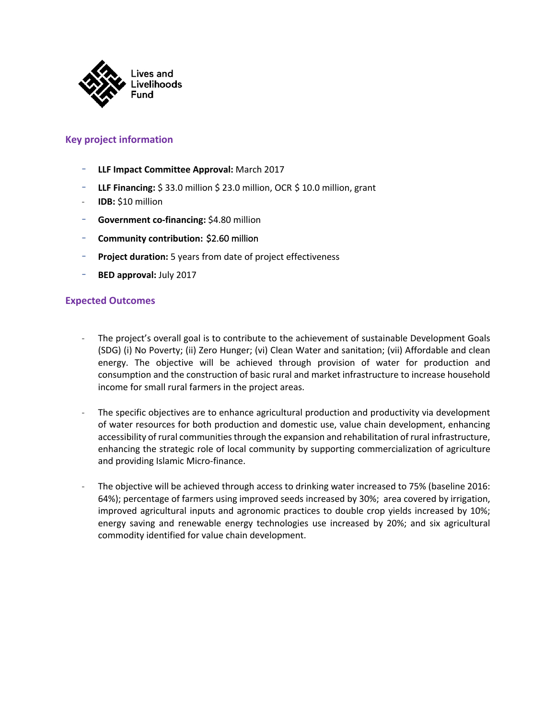

### **Key project information**

- **LLF Impact Committee Approval:** March 2017
- **LLF Financing:** \$33.0 million \$23.0 million, OCR \$10.0 million, grant
- **IDB:** \$10 million
- **Government co-financing:** \$4.80 million
- **Community contribution:** \$2.60 million
- Project duration: 5 years from date of project effectiveness
- **BED approval:** July 2017

#### **Expected Outcomes**

- The project's overall goal is to contribute to the achievement of sustainable Development Goals (SDG) (i) No Poverty; (ii) Zero Hunger; (vi) Clean Water and sanitation; (vii) Affordable and clean energy. The objective will be achieved through provision of water for production and consumption and the construction of basic rural and market infrastructure to increase household income for small rural farmers in the project areas.
- The specific objectives are to enhance agricultural production and productivity via development of water resources for both production and domestic use, value chain development, enhancing accessibility of rural communities through the expansion and rehabilitation of rural infrastructure, enhancing the strategic role of local community by supporting commercialization of agriculture and providing Islamic Micro-finance.
- The objective will be achieved through access to drinking water increased to 75% (baseline 2016: 64%); percentage of farmers using improved seeds increased by 30%; area covered by irrigation, improved agricultural inputs and agronomic practices to double crop yields increased by 10%; energy saving and renewable energy technologies use increased by 20%; and six agricultural commodity identified for value chain development.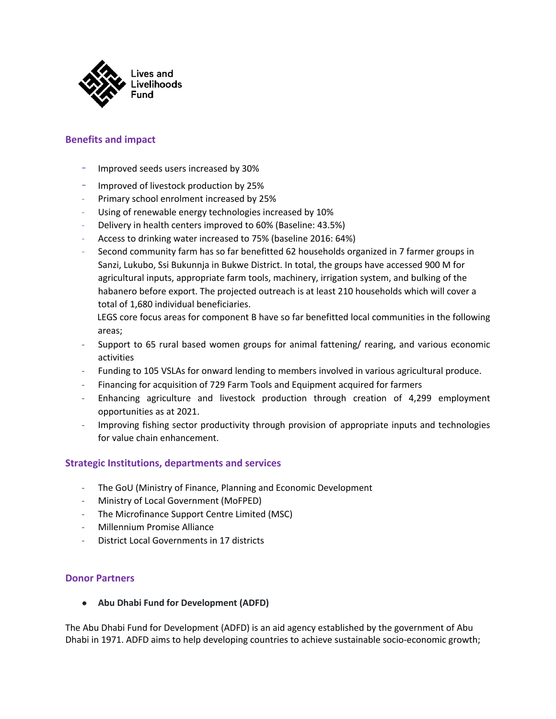

# **Benefits and impact**

- Improved seeds users increased by 30%
- Improved of livestock production by 25%
- Primary school enrolment increased by 25%
- Using of renewable energy technologies increased by 10%
- Delivery in health centers improved to 60% (Baseline: 43.5%)
- Access to drinking water increased to 75% (baseline 2016: 64%)
- Second community farm has so far benefitted 62 households organized in 7 farmer groups in Sanzi, Lukubo, Ssi Bukunnja in Bukwe District. In total, the groups have accessed 900 M for agricultural inputs, appropriate farm tools, machinery, irrigation system, and bulking of the habanero before export. The projected outreach is at least 210 households which will cover a total of 1,680 individual beneficiaries.
	- LEGS core focus areas for component B have so far benefitted local communities in the following areas;
- Support to 65 rural based women groups for animal fattening/ rearing, and various economic activities
- Funding to 105 VSLAs for onward lending to members involved in various agricultural produce.
- Financing for acquisition of 729 Farm Tools and Equipment acquired for farmers
- Enhancing agriculture and livestock production through creation of 4,299 employment opportunities as at 2021.
- Improving fishing sector productivity through provision of appropriate inputs and technologies for value chain enhancement.

# **Strategic Institutions, departments and services**

- The GoU (Ministry of Finance, Planning and Economic Development
- Ministry of Local Government (MoFPED)
- The Microfinance Support Centre Limited (MSC)
- Millennium Promise Alliance
- District Local Governments in 17 districts

#### **Donor Partners**

● **Abu Dhabi Fund for Development (ADFD)**

The Abu Dhabi Fund for Development (ADFD) is an aid agency established by the government of Abu Dhabi in 1971. ADFD aims to help developing countries to achieve sustainable socio-economic growth;